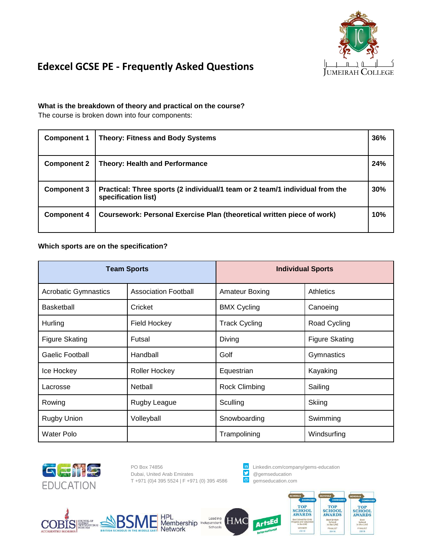

# **Edexcel GCSE PE - Frequently Asked Questions**

## **What is the breakdown of theory and practical on the course?**

The course is broken down into four components:

| <b>Component 1</b> | <b>Theory: Fitness and Body Systems</b>                                                             | 36% |
|--------------------|-----------------------------------------------------------------------------------------------------|-----|
| <b>Component 2</b> | <b>Theory: Health and Performance</b>                                                               | 24% |
| <b>Component 3</b> | Practical: Three sports (2 individual/1 team or 2 team/1 individual from the<br>specification list) | 30% |
| <b>Component 4</b> | Coursework: Personal Exercise Plan (theoretical written piece of work)                              | 10% |

## **Which sports are on the specification?**

| <b>Team Sports</b>          |                             | <b>Individual Sports</b> |                       |
|-----------------------------|-----------------------------|--------------------------|-----------------------|
| <b>Acrobatic Gymnastics</b> | <b>Association Football</b> | <b>Amateur Boxing</b>    | Athletics             |
| <b>Basketball</b>           | Cricket                     | <b>BMX Cycling</b>       | Canoeing              |
| Hurling                     | <b>Field Hockey</b>         | <b>Track Cycling</b>     | Road Cycling          |
| <b>Figure Skating</b>       | Futsal                      | Diving                   | <b>Figure Skating</b> |
| <b>Gaelic Football</b>      | Handball                    | Golf                     | Gymnastics            |
| Ice Hockey                  | Roller Hockey               | Equestrian               | Kayaking              |
| Lacrosse                    | Netball                     | <b>Rock Climbing</b>     | Sailing               |
| Rowing                      | Rugby League                | Sculling                 | Skiing                |
| <b>Rugby Union</b>          | Volleyball                  | Snowboarding             | Swimming              |
| <b>Water Polo</b>           |                             | Trampolining             | Windsurfing           |



Dubai, United Arab Emirates **Dubai, United Arab Emirates Conservation** T +971 (0) 4 395 5524 | F +971 (0) 395 4586 T +971 (0)4 395 5524 | F +971 (0) 395 4586

PO Box 74856 **PO Box 74856** Linkedin.com/company/gems-education Dubai, United Arab Emirates **Post Arabian Company** 





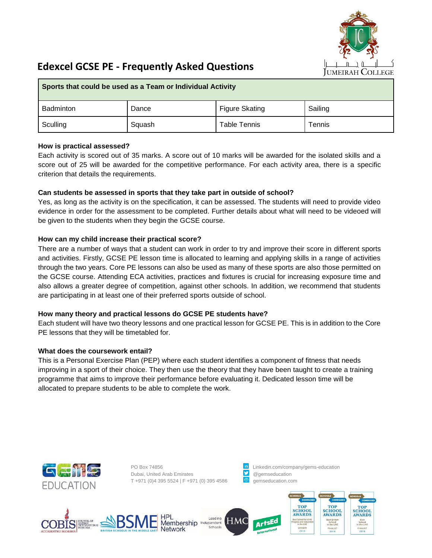

## **Edexcel GCSE PE - Frequently Asked Questions**

| Sports that could be used as a Team or Individual Activity |        |                       |         |  |
|------------------------------------------------------------|--------|-----------------------|---------|--|
| Badminton                                                  | Dance  | <b>Figure Skating</b> | Sailing |  |
| Sculling                                                   | Squash | <b>Table Tennis</b>   | Tennis  |  |

#### **How is practical assessed?**

Each activity is scored out of 35 marks. A score out of 10 marks will be awarded for the isolated skills and a score out of 25 will be awarded for the competitive performance. For each activity area, there is a specific criterion that details the requirements.

## **Can students be assessed in sports that they take part in outside of school?**

Yes, as long as the activity is on the specification, it can be assessed. The students will need to provide video evidence in order for the assessment to be completed. Further details about what will need to be videoed will be given to the students when they begin the GCSE course.

## **How can my child increase their practical score?**

There are a number of ways that a student can work in order to try and improve their score in different sports and activities. Firstly, GCSE PE lesson time is allocated to learning and applying skills in a range of activities through the two years. Core PE lessons can also be used as many of these sports are also those permitted on the GCSE course. Attending ECA activities, practices and fixtures is crucial for increasing exposure time and also allows a greater degree of competition, against other schools. In addition, we recommend that students are participating in at least one of their preferred sports outside of school.

## **How many theory and practical lessons do GCSE PE students have?**

Each student will have two theory lessons and one practical lesson for GCSE PE. This is in addition to the Core PE lessons that they will be timetabled for.

## **What does the coursework entail?**

This is a Personal Exercise Plan (PEP) where each student identifies a component of fitness that needs improving in a sport of their choice. They then use the theory that they have been taught to create a training programme that aims to improve their performance before evaluating it. Dedicated lesson time will be allocated to prepare students to be able to complete the work.



Dubai, United Arab Emirates **Dubai, 1998** @gemseducation<br>T +971 (0)4 395 5524 | F +971 (0) 395 4586 **@** gemseducation.com T +971 (0)4 395 5524 | F +971 (0) 395 4586

PO Box 74856 <br>
Dubai. United Arab Emirates **Dubai.** Company/gemeetucation<br> **Dubai.** United Arab Emirates **Dubai. Dubai.** @ aemseducation